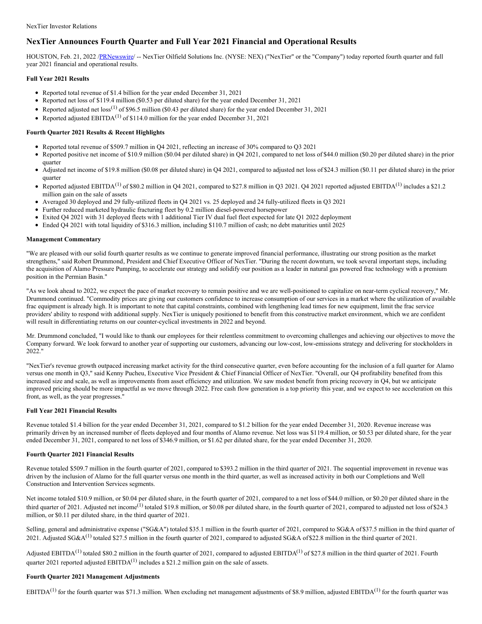# **NexTier Announces Fourth Quarter and Full Year 2021 Financial and Operational Results**

HOUSTON, Feb. 21, 2022 [/PRNewswire](http://www.prnewswire.com/)/ -- NexTier Oilfield Solutions Inc. (NYSE: NEX) ("NexTier" or the "Company") today reported fourth quarter and full year 2021 financial and operational results.

### **Full Year 2021 Results**

- Reported total revenue of \$1.4 billion for the year ended December 31, 2021
- Reported net loss of \$119.4 million (\$0.53 per diluted share) for the year ended December 31, 2021
- Reported adjusted net  $loss^{(1)}$  of \$96.5 million (\$0.43 per diluted share) for the year ended December 31, 2021
- Reported adjusted  $EBITDA<sup>(1)</sup>$  of \$114.0 million for the year ended December 31, 2021

### **Fourth Quarter 2021 Results & Recent Highlights**

- Reported total revenue of \$509.7 million in Q4 2021, reflecting an increase of 30% compared to Q3 2021
- Reported positive net income of \$10.9 million (\$0.04 per diluted share) in Q4 2021, compared to net loss of \$44.0 million (\$0.20 per diluted share) in the prior quarter
- Adjusted net income of \$19.8 million (\$0.08 per diluted share) in Q4 2021, compared to adjusted net loss of \$24.3 million (\$0.11 per diluted share) in the prior quarter
- Reported adjusted EBITDA<sup>(1)</sup> of \$80.2 million in Q4 2021, compared to \$27.8 million in Q3 2021. Q4 2021 reported adjusted EBITDA<sup>(1)</sup> includes a \$21.2 million gain on the sale of assets
- Averaged 30 deployed and 29 fully-utilized fleets in Q4 2021 vs. 25 deployed and 24 fully-utilized fleets in Q3 2021
- Further reduced marketed hydraulic fracturing fleet by 0.2 million diesel-powered horsepower
- Exited Q4 2021 with 31 deployed fleets with 1 additional Tier IV dual fuel fleet expected for late Q1 2022 deployment
- Ended Q4 2021 with total liquidity of \$316.3 million, including \$110.7 million of cash; no debt maturities until 2025

### **Management Commentary**

"We are pleased with our solid fourth quarter results as we continue to generate improved financial performance, illustrating our strong position as the market strengthens," said Robert Drummond, President and Chief Executive Officer of NexTier. "During the recent downturn, we took several important steps, including the acquisition of Alamo Pressure Pumping, to accelerate our strategy and solidify our position as a leader in natural gas powered frac technology with a premium position in the Permian Basin."

"As we look ahead to 2022, we expect the pace of market recovery to remain positive and we are well-positioned to capitalize on near-term cyclical recovery," Mr. Drummond continued. "Commodity prices are giving our customers confidence to increase consumption of our services in a market where the utilization of available frac equipment is already high. It is important to note that capital constraints, combined with lengthening lead times for new equipment, limit the frac service providers' ability to respond with additional supply. NexTier is uniquely positioned to benefit from this constructive market environment, which we are confident will result in differentiating returns on our counter-cyclical investments in 2022 and beyond.

Mr. Drummond concluded, "I would like to thank our employees for their relentless commitment to overcoming challenges and achieving our objectives to move the Company forward. We look forward to another year of supporting our customers, advancing our low-cost, low-emissions strategy and delivering for stockholders in 2022."

"NexTier's revenue growth outpaced increasing market activity for the third consecutive quarter, even before accounting for the inclusion of a full quarter for Alamo versus one month in Q3," said Kenny Pucheu, Executive Vice President & Chief Financial Officer of NexTier. "Overall, our Q4 profitability benefited from this increased size and scale, as well as improvements from asset efficiency and utilization. We saw modest benefit from pricing recovery in Q4, but we anticipate improved pricing should be more impactful as we move through 2022. Free cash flow generation is a top priority this year, and we expect to see acceleration on this front, as well, as the year progresses."

### **Full Year 2021 Financial Results**

Revenue totaled \$1.4 billion for the year ended December 31, 2021, compared to \$1.2 billion for the year ended December 31, 2020. Revenue increase was primarily driven by an increased number of fleets deployed and four months of Alamo revenue. Net loss was \$119.4 million, or \$0.53 per diluted share, for the year ended December 31, 2021, compared to net loss of \$346.9 million, or \$1.62 per diluted share, for the year ended December 31, 2020.

### **Fourth Quarter 2021 Financial Results**

Revenue totaled \$509.7 million in the fourth quarter of 2021, compared to \$393.2 million in the third quarter of 2021. The sequential improvement in revenue was driven by the inclusion of Alamo for the full quarter versus one month in the third quarter, as well as increased activity in both our Completions and Well Construction and Intervention Services segments.

Net income totaled \$10.9 million, or \$0.04 per diluted share, in the fourth quarter of 2021, compared to a net loss of \$44.0 million, or \$0.20 per diluted share in the third quarter of 2021. Adjusted net income<sup>(1)</sup> totaled \$19.8 million, or \$0.08 per diluted share, in the fourth quarter of 2021, compared to adjusted net loss of \$24.3 million, or \$0.11 per diluted share, in the third quarter of 2021.

Selling, general and administrative expense ("SG&A") totaled \$35.1 million in the fourth quarter of 2021, compared to SG&A of \$37.5 million in the third quarter of 2021. Adjusted SG&A<sup>(1)</sup> totaled \$27.5 million in the fourth quarter of 2021, compared to adjusted SG&A of \$22.8 million in the third quarter of 2021.

Adjusted EBITDA<sup>(1)</sup> totaled \$80.2 million in the fourth quarter of 2021, compared to adjusted EBITDA<sup>(1)</sup> of \$27.8 million in the third quarter of 2021. Fourth quarter 2021 reported adjusted  $EBITDA<sup>(1)</sup>$  includes a \$21.2 million gain on the sale of assets.

### **Fourth Quarter 2021 Management Adjustments**

EBITDA<sup>(1)</sup> for the fourth quarter was \$71.3 million. When excluding net management adjustments of \$8.9 million, adjusted EBITDA<sup>(1)</sup> for the fourth quarter was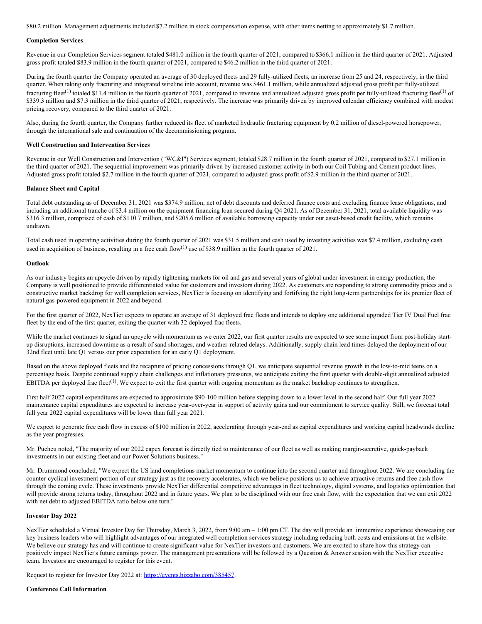\$80.2 million. Management adjustments included \$7.2 million in stock compensation expense, with other items netting to approximately \$1.7 million.

#### **Completion Services**

Revenue in our Completion Services segment totaled \$481.0 million in the fourth quarter of 2021, compared to \$366.1 million in the third quarter of 2021. Adjusted gross profit totaled \$83.9 million in the fourth quarter of 2021, compared to \$46.2 million in the third quarter of 2021.

During the fourth quarter the Company operated an average of 30 deployed fleets and 29 fully-utilized fleets, an increase from 25 and 24, respectively, in the third quarter. When taking only fracturing and integrated wireline into account, revenue was \$461.1 million, while annualized adjusted gross profit per fully-utilized fracturing fleet<sup>(1)</sup> totaled \$11.4 million in the fourth quarter of 2021, compared to revenue and annualized adjusted gross profit per fully-utilized fracturing fleet<sup>(1)</sup> of \$339.3 million and \$7.3 million in the third quarter of 2021, respectively. The increase was primarily driven by improved calendar efficiency combined with modest pricing recovery, compared to the third quarter of 2021.

Also, during the fourth quarter, the Company further reduced its fleet of marketed hydraulic fracturing equipment by 0.2 million of diesel-powered horsepower, through the international sale and continuation of the decommissioning program.

#### **Well Construction and Intervention Services**

Revenue in our Well Construction and Intervention ("WC&I") Services segment, totaled \$28.7 million in the fourth quarter of 2021, compared to \$27.1 million in the third quarter of 2021. The sequential improvement was primarily driven by increased customer activity in both our Coil Tubing and Cement product lines. Adjusted gross profit totaled \$2.7 million in the fourth quarter of 2021, compared to adjusted gross profit of \$2.9 million in the third quarter of 2021.

#### **Balance Sheet and Capital**

Total debt outstanding as of December 31, 2021 was \$374.9 million, net of debt discounts and deferred finance costs and excluding finance lease obligations, and including an additional tranche of \$3.4 million on the equipment financing loan secured during Q4 2021. As of December 31, 2021, total available liquidity was \$316.3 million, comprised of cash of \$110.7 million, and \$205.6 million of available borrowing capacity under our asset-based credit facility, which remains undrawn.

Total cash used in operating activities during the fourth quarter of 2021 was \$31.5 million and cash used by investing activities was \$7.4 million, excluding cash used in acquisition of business, resulting in a free cash flow<sup>(1)</sup> use of \$38.9 million in the fourth quarter of 2021.

#### **Outlook**

As our industry begins an upcycle driven by rapidly tightening markets for oil and gas and several years of global under-investment in energy production, the Company is well positioned to provide differentiated value for customers and investors during 2022. As customers are responding to strong commodity prices and a constructive market backdrop for well completion services, NexTier is focusing on identifying and fortifying the right long-term partnerships for its premier fleet of natural gas-powered equipment in 2022 and beyond.

For the first quarter of 2022, NexTier expects to operate an average of 31 deployed frac fleets and intends to deploy one additional upgraded Tier IV Dual Fuel frac fleet by the end of the first quarter, exiting the quarter with 32 deployed frac fleets.

While the market continues to signal an upcycle with momentum as we enter 2022, our first quarter results are expected to see some impact from post-holiday startup disruptions, increased downtime as a result of sand shortages, and weather-related delays. Additionally, supply chain lead times delayed the deployment of our 32nd fleet until late Q1 versus our prior expectation for an early Q1 deployment.

Based on the above deployed fleets and the recapture of pricing concessions through Q1, we anticipate sequential revenue growth in the low-to-mid teens on a percentage basis. Despite continued supply chain challenges and inflationary pressures, we anticipate exiting the first quarter with double-digit annualized adjusted EBITDA per deployed frac fleet<sup>(1)</sup>. We expect to exit the first quarter with ongoing momentum as the market backdrop continues to strengthen.

First half 2022 capital expenditures are expected to approximate \$90-100 million before stepping down to a lower level in the second half. Our full year 2022 maintenance capital expenditures are expected to increase year-over-year in support of activity gains and our commitment to service quality. Still, we forecast total full year 2022 capital expenditures will be lower than full year 2021.

We expect to generate free cash flow in excess of \$100 million in 2022, accelerating through year-end as capital expenditures and working capital headwinds decline as the year progresses.

Mr. Pucheu noted, "The majority of our 2022 capex forecast is directly tied to maintenance of our fleet as well as making margin-accretive, quick-payback investments in our existing fleet and our Power Solutions business."

Mr. Drummond concluded, "We expect the US land completions market momentum to continue into the second quarter and throughout 2022. We are concluding the counter-cyclical investment portion of our strategy just as the recovery accelerates, which we believe positions us to achieve attractive returns and free cash flow through the coming cycle. These investments provide NexTier differential competitive advantages in fleet technology, digital systems, and logistics optimization that will provide strong returns today, throughout 2022 and in future years. We plan to be disciplined with our free cash flow, with the expectation that we can exit 2022 with net debt to adjusted EBITDA ratio below one turn."

#### **Investor Day 2022**

NexTier scheduled a Virtual Investor Day for Thursday, March 3, 2022, from 9:00 am – 1:00 pm CT. The day will provide an immersive experience showcasing our key business leaders who will highlight advantages of our integrated well completion services strategy including reducing both costs and emissions at the wellsite. We believe our strategy has and will continue to create significant value for NexTier investors and customers. We are excited to share how this strategy can positively impact NexTier's future earnings power. The management presentations will be followed by a Question & Answer session with the NexTier executive team. Investors are encouraged to register for this event.

Request to register for Investor Day 2022 at: [https://events.bizzabo.com/385457](https://c212.net/c/link/?t=0&l=en&o=3450361-1&h=3965261653&u=https%3A%2F%2Fevents.bizzabo.com%2F385457&a=https%3A%2F%2Fevents.bizzabo.com%2F385457).

**Conference Call Information**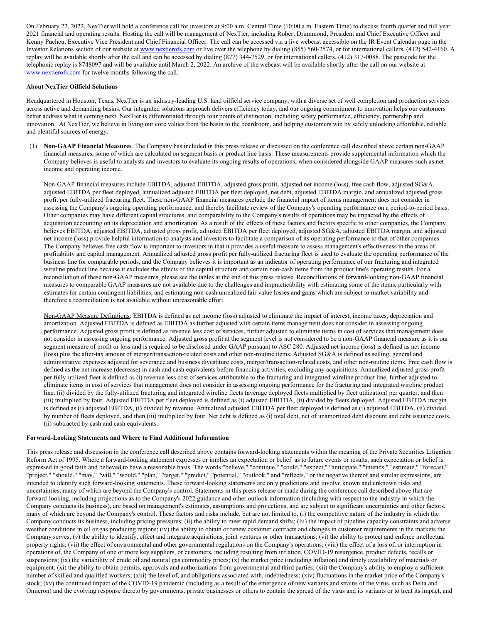On February 22, 2022, NexTier will hold a conference call for investors at 9:00 a.m. Central Time (10:00 a.m. Eastern Time) to discuss fourth quarter and full year 2021 financial and operating results. Hosting the call will be management of NexTier, including Robert Drummond, President and Chief Executive Officer and Kenny Pucheu, Executive Vice President and Chief Financial Officer. The call can be accessed via a live webcast accessible on the IR Event Calendar page in the Investor Relations section of our website at [www.nextierofs.com](https://c212.net/c/link/?t=0&l=en&o=3450361-1&h=926846383&u=http%3A%2F%2Fwww.nextierofs.com%2F&a=www.nextierofs.com) or live over the telephone by dialing (855) 560-2574, or for international callers, (412) 542-4160. A replay will be available shortly after the call and can be accessed by dialing (877) 344-7529, or for international callers, (412) 317-0088. The passcode for the telephonic replay is 8748097 and will be available until March 2, 2022. An archive of the webcast will be available shortly after the call on our website at [www.nextierofs.com](https://c212.net/c/link/?t=0&l=en&o=3450361-1&h=926846383&u=http%3A%2F%2Fwww.nextierofs.com%2F&a=www.nextierofs.com) for twelve months following the call.

#### **About NexTier Oilfield Solutions**

Headquartered in Houston, Texas, NexTier is an industry-leading U.S. land oilfield service company, with a diverse set of well completion and production services across active and demanding basins. Our integrated solutions approach delivers efficiency today, and our ongoing commitment to innovation helps our customers better address what is coming next. NexTier is differentiated through four points of distinction, including safety performance, efficiency, partnership and innovation. At NexTier, we believe in living our core values from the basin to the boardroom, and helping customers win by safely unlocking affordable, reliable and plentiful sources of energy.

(1) **Non-GAAP Financial Measures**. The Company has included in this press release or discussed on the conference call described above certain non-GAAP financial measures, some of which are calculated on segment basis or product line basis. These measurements provide supplemental information which the Company believes is useful to analysts and investors to evaluate its ongoing results of operations, when considered alongside GAAP measures such as net income and operating income.

Non-GAAP financial measures include EBITDA, adjusted EBITDA, adjusted gross profit, adjusted net income (loss), free cash flow, adjusted SG&A, adjusted EBITDA per fleet deployed, annualized adjusted EBITDA per fleet deployed, net debt, adjusted EBITDA margin, and annualized adjusted gross profit per fully-utilized fracturing fleet. These non-GAAP financial measures exclude the financial impact of items management does not consider in assessing the Company's ongoing operating performance, and thereby facilitate review of the Company's operating performance on a period-to-period basis. Other companies may have different capital structures, and comparability to the Company's results of operations may be impacted by the effects of acquisition accounting on its depreciation and amortization. As a result of the effects of these factors and factors specific to other companies, the Company believes EBITDA, adjusted EBITDA, adjusted gross profit, adjusted EBITDA per fleet deployed, adjusted SG&A, adjusted EBITDA margin, and adjusted net income (loss) provide helpful information to analysts and investors to facilitate a comparison of its operating performance to that of other companies. The Company believes free cash flow is important to investors in that it provides a useful measure to assess management's effectiveness in the areas of profitability and capital management. Annualized adjusted gross profit per fully-utilized fracturing fleet is used to evaluate the operating performance of the business line for comparable periods, and the Company believes it is important as an indicator of operating performance of our fracturing and integrated wireline product line because it excludes the effects of the capital structure and certain non-cash items from the product line's operating results. For a reconciliation of these non-GAAP measures, please see the tables at the end of this press release. Reconciliations of forward-looking non-GAAP financial measures to comparable GAAP measures are not available due to the challenges and impracticability with estimating some of the items, particularly with estimates for certain contingent liabilities, and estimating non-cash unrealized fair value losses and gains which are subject to market variability and therefore a reconciliation is not available without unreasonable effort.

Non-GAAP Measure Definitions: EBITDA is defined as net income (loss) adjusted to eliminate the impact of interest, income taxes, depreciation and amortization. Adjusted EBITDA is defined as EBITDA as further adjusted with certain items management does not consider in assessing ongoing performance. Adjusted gross profit is defined as revenue less cost of services, further adjusted to eliminate items in cost of services that management does not consider in assessing ongoing performance. Adjusted gross profit at the segment level is not considered to be a non-GAAP financial measure as it is our segment measure of profit or loss and is required to be disclosed under GAAP pursuant to ASC 280. Adjusted net income (loss) is defined as net income (loss) plus the after-tax amount of merger/transaction-related costs and other non-routine items. Adjusted SG&A is defined as selling, general and administrative expenses adjusted for severance and business divestiture costs, merger/transaction-related costs, and other non-routine items. Free cash flow is defined as the net increase (decrease) in cash and cash equivalents before financing activities, excluding any acquisitions. Annualized adjusted gross profit per fully-utilized fleet is defined as (i) revenue less cost of services attributable to the fracturing and integrated wireline product line, further adjusted to eliminate items in cost of services that management does not consider in assessing ongoing performance for the fracturing and integrated wireline product line, (ii) divided by the fully-utilized fracturing and integrated wireline fleets (average deployed fleets multiplied by fleet utilization) per quarter, and then (iii) multiplied by four. Adjusted EBITDA per fleet deployed is defined as (i) adjusted EBITDA, (ii) divided by fleets deployed. Adjusted EBITDA margin is defined as (i) adjusted EBITDA, (i) divided by revenue. Annualized adjusted EBITDA per fleet deployed is defined as (i) adjusted EBITDA, (ii) divided by number of fleets deployed, and then (iii) multiplied by four. Net debt is defined as (i) total debt, net of unamortized debt discount and debt issuance costs, (ii) subtracted by cash and cash equivalents.

#### **Forward-Looking Statements and Where to Find Additional Information**

This press release and discussion in the conference call described above contains forward-looking statements within the meaning of the Private Securities Litigation Reform Act of 1995. Where a forward-looking statement expresses or implies an expectation or belief as to future events or results, such expectation or belief is expressed in good faith and believed to have a reasonable basis. The words "believe," "continue," "could," "expect," "anticipate," "intends," "estimate," "forecast," "project," "should," "may," "will," "would," "plan," "target," "predict," "potential," "outlook," and "reflects," or the negative thereof and similar expressions, are intended to identify such forward-looking statements. These forward-looking statements are only predictions and involve known and unknown risks and uncertainties, many of which are beyond the Company's control. Statements in this press release or made during the conference call described above that are forward-looking, including projections as to the Company's 2022 guidance and other outlook information (including with respect to the industry in which the Company conducts its business), are based on management's estimates, assumptions and projections, and are subject to significant uncertainties and other factors, many of which are beyond the Company's control. These factors and risks include, but are not limited to, (i) the competitive nature of the industry in which the Company conducts its business, including pricing pressures; (ii) the ability to meet rapid demand shifts; (iii) the impact of pipeline capacity constraints and adverse weather conditions in oil or gas producing regions; (iv) the ability to obtain or renew customer contracts and changes in customer requirements in the markets the Company serves; (v) the ability to identify, effect and integrate acquisitions, joint ventures or other transactions; (vi) the ability to protect and enforce intellectual property rights; (vii) the effect of environmental and other governmental regulations on the Company's operations; (viii) the effect of a loss of, or interruption in operations of, the Company of one or more key suppliers, or customers, including resulting from inflation, COVID-19 resurgence, product defects, recalls or suspensions; (ix) the variability of crude oil and natural gas commodity prices;  $(x)$  the market price (including inflation) and timely availability of materials or equipment; (xi) the ability to obtain permits, approvals and authorizations from governmental and third parties; (xii) the Company's ability to employ a sufficient number of skilled and qualified workers; (xiii) the level of, and obligations associated with, indebtedness; (xiv) fluctuations in the market price of the Company's stock; (xv) the continued impact of the COVID-19 pandemic (including as a result of the emergence of new variants and strains of the virus, such as Delta and Omicron) and the evolving response thereto by governments, private businesses or others to contain the spread of the virus and its variants or to treat its impact, and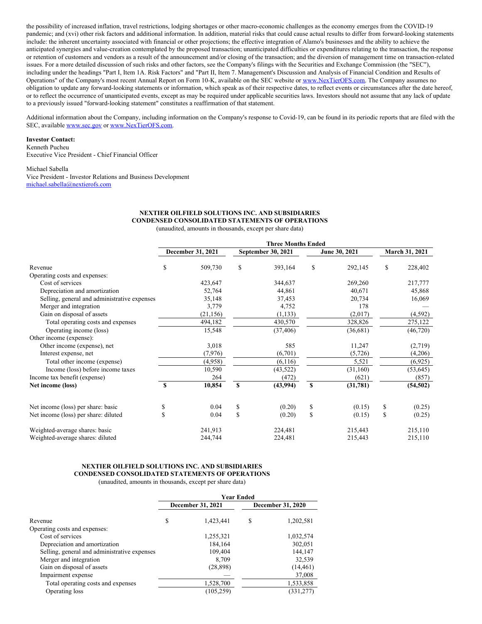the possibility of increased inflation, travel restrictions, lodging shortages or other macro-economic challenges as the economy emerges from the COVID-19 pandemic; and (xvi) other risk factors and additional information. In addition, material risks that could cause actual results to differ from forward-looking statements include: the inherent uncertainty associated with financial or other projections; the effective integration of Alamo's businesses and the ability to achieve the anticipated synergies and value-creation contemplated by the proposed transaction; unanticipated difficulties or expenditures relating to the transaction, the response or retention of customers and vendors as a result of the announcement and/or closing of the transaction; and the diversion of management time on transaction-related issues. For a more detailed discussion of such risks and other factors, see the Company's filings with the Securities and Exchange Commission (the "SEC"), including under the headings "Part I, Item 1A. Risk Factors" and "Part II, Item 7. Management's Discussion and Analysis of Financial Condition and Results of Operations" of the Company's most recent Annual Report on Form 10-K, available on the SEC website or [www.NexTierOFS.com](http://www.nextierofs.com). The Company assumes no obligation to update any forward-looking statements or information, which speak as of their respective dates, to reflect events or circumstances after the date hereof, or to reflect the occurrence of unanticipated events, except as may be required under applicable securities laws. Investors should not assume that any lack of update to a previously issued "forward-looking statement" constitutes a reaffirmation of that statement.

Additional information about the Company, including information on the Company's response to Covid-19, can be found in its periodic reports that are filed with the SEC, available [www.sec.gov](http://www.sec.gov) or [www.NexTierOFS.com](http://www.nextierofs.com).

#### **Investor Contact:**

Kenneth Pucheu Executive Vice President - Chief Financial Officer

#### Michael Sabella

Vice President - Investor Relations and Business Development [michael.sabella@nextierofs.com](mailto:michael.sabella@nextierofs.com)

### **NEXTIER OILFIELD SOLUTIONS INC. AND SUBSIDIARIES CONDENSED CONSOLIDATED STATEMENTS OF OPERATIONS**

(unaudited, amounts in thousands, except per share data)

|                                              | <b>Three Months Ended</b> |           |                    |           |               |           |                       |           |
|----------------------------------------------|---------------------------|-----------|--------------------|-----------|---------------|-----------|-----------------------|-----------|
|                                              | December 31, 2021         |           | September 30, 2021 |           | June 30, 2021 |           | <b>March 31, 2021</b> |           |
| Revenue                                      | S                         | 509,730   | S                  | 393,164   | \$            | 292,145   | \$                    | 228,402   |
| Operating costs and expenses:                |                           |           |                    |           |               |           |                       |           |
| Cost of services                             |                           | 423,647   |                    | 344,637   |               | 269,260   |                       | 217,777   |
| Depreciation and amortization                |                           | 52,764    |                    | 44,861    |               | 40,671    |                       | 45,868    |
| Selling, general and administrative expenses |                           | 35,148    |                    | 37,453    |               | 20,734    |                       | 16,069    |
| Merger and integration                       |                           | 3,779     |                    | 4,752     |               | 178       |                       |           |
| Gain on disposal of assets                   |                           | (21, 156) |                    | (1, 133)  |               | (2,017)   |                       | (4,592)   |
| Total operating costs and expenses           |                           | 494,182   |                    | 430,570   |               | 328,826   |                       | 275,122   |
| Operating income (loss)                      |                           | 15,548    |                    | (37, 406) |               | (36,681)  |                       | (46, 720) |
| Other income (expense):                      |                           |           |                    |           |               |           |                       |           |
| Other income (expense), net                  |                           | 3,018     |                    | 585       |               | 11,247    |                       | (2,719)   |
| Interest expense, net                        |                           | (7, 976)  |                    | (6,701)   |               | (5,726)   |                       | (4,206)   |
| Total other income (expense)                 |                           | (4,958)   |                    | (6,116)   |               | 5,521     |                       | (6,925)   |
| Income (loss) before income taxes            |                           | 10,590    |                    | (43, 522) |               | (31, 160) |                       | (53, 645) |
| Income tax benefit (expense)                 |                           | 264       |                    | (472)     |               | (621)     |                       | (857)     |
| Net income (loss)                            | <sup>\$</sup>             | 10,854    | S                  | (43,994)  | $\mathbf{s}$  | (31,781)  |                       | (54, 502) |
| Net income (loss) per share: basic           | \$                        | 0.04      | \$                 | (0.20)    | \$            | (0.15)    | \$                    | (0.25)    |
| Net income (loss) per share: diluted         | $\mathbf{\hat{s}}$        | 0.04      | \$                 | (0.20)    | \$            | (0.15)    | \$                    | (0.25)    |
| Weighted-average shares: basic               |                           | 241,913   |                    | 224,481   |               | 215,443   |                       | 215,110   |
| Weighted-average shares: diluted             |                           | 244,744   |                    | 224,481   |               | 215,443   |                       | 215,110   |

### **NEXTIER OILFIELD SOLUTIONS INC. AND SUBSIDIARIES CONDENSED CONSOLIDATED STATEMENTS OF OPERATIONS**

(unaudited, amounts in thousands, except per share data)

|                                              | <b>Year Ended</b> |            |   |                   |
|----------------------------------------------|-------------------|------------|---|-------------------|
|                                              | December 31, 2021 |            |   | December 31, 2020 |
| Revenue                                      | S                 | 1,423,441  | S | 1,202,581         |
| Operating costs and expenses:                |                   |            |   |                   |
| Cost of services                             |                   | 1,255,321  |   | 1,032,574         |
| Depreciation and amortization                |                   | 184,164    |   | 302,051           |
| Selling, general and administrative expenses |                   | 109,404    |   | 144,147           |
| Merger and integration                       |                   | 8,709      |   | 32,539            |
| Gain on disposal of assets                   |                   | (28, 898)  |   | (14, 461)         |
| Impairment expense                           |                   |            |   | 37,008            |
| Total operating costs and expenses           |                   | 1,528,700  |   | 1,533,858         |
| Operating loss                               |                   | (105, 259) |   | (331, 277)        |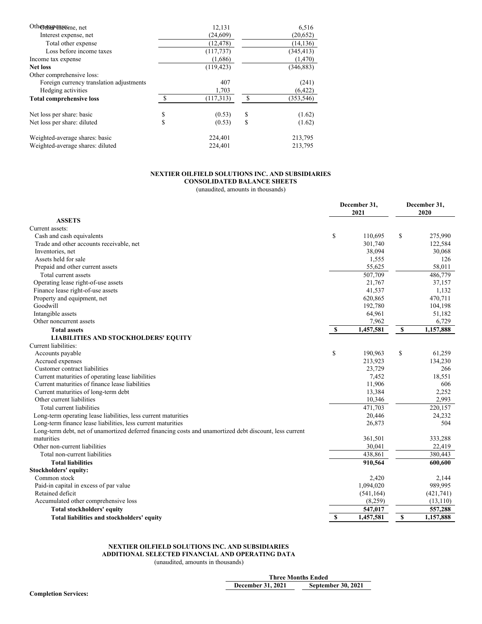| Othor the of new me, net                 |     | 12,131     |      | 6,516      |
|------------------------------------------|-----|------------|------|------------|
| Interest expense, net                    |     | (24,609)   |      | (20,652)   |
| Total other expense                      |     | (12, 478)  |      | (14, 136)  |
| Loss before income taxes                 |     | (117, 737) |      | (345, 413) |
| Income tax expense                       |     | (1,686)    |      | (1,470)    |
| <b>Net loss</b>                          |     | (119, 423) |      | (346, 883) |
| Other comprehensive loss:                |     |            |      |            |
| Foreign currency translation adjustments |     | 407        |      | (241)      |
| Hedging activities                       |     | 1,703      |      | (6.422)    |
| <b>Total comprehensive loss</b>          | \$. | (117,313)  | - \$ | (353, 546) |
| Net loss per share: basic                | \$  | (0.53)     | \$   | (1.62)     |
| Net loss per share: diluted              | \$  | (0.53)     | \$   | (1.62)     |
| Weighted-average shares: basic           |     | 224,401    |      | 213,795    |
| Weighted-average shares: diluted         |     | 224,401    |      | 213,795    |

# **NEXTIER OILFIELD SOLUTIONS INC. AND SUBSIDIARIES**

**CONSOLIDATED BALANCE SHEETS** (unaudited, amounts in thousands)

|                                                                                                         | December 31,<br>2021 |            | December 31,<br>2020 |  |
|---------------------------------------------------------------------------------------------------------|----------------------|------------|----------------------|--|
| <b>ASSETS</b>                                                                                           |                      |            |                      |  |
| Current assets:                                                                                         |                      |            |                      |  |
| Cash and cash equivalents                                                                               | \$                   | 110,695    | \$<br>275,990        |  |
| Trade and other accounts receivable, net                                                                |                      | 301,740    | 122,584              |  |
| Inventories, net                                                                                        |                      | 38,094     | 30,068               |  |
| Assets held for sale                                                                                    |                      | 1,555      | 126                  |  |
| Prepaid and other current assets                                                                        |                      | 55,625     | 58,011               |  |
| Total current assets                                                                                    |                      | 507,709    | 486,779              |  |
| Operating lease right-of-use assets                                                                     |                      | 21,767     | 37,157               |  |
| Finance lease right-of-use assets                                                                       |                      | 41,537     | 1,132                |  |
| Property and equipment, net                                                                             |                      | 620,865    | 470,711              |  |
| Goodwill                                                                                                |                      | 192,780    | 104,198              |  |
| Intangible assets                                                                                       |                      | 64,961     | 51,182               |  |
| Other noncurrent assets                                                                                 |                      | 7,962      | 6,729                |  |
| <b>Total assets</b>                                                                                     | $\mathbf{\$}$        | 1,457,581  | \$<br>1,157,888      |  |
| <b>LIABILITIES AND STOCKHOLDERS' EQUITY</b>                                                             |                      |            |                      |  |
| Current liabilities:                                                                                    |                      |            |                      |  |
| Accounts payable                                                                                        | \$                   | 190.963    | \$<br>61,259         |  |
| Accrued expenses                                                                                        |                      | 213,923    | 134,230              |  |
| Customer contract liabilities                                                                           |                      | 23,729     | 266                  |  |
| Current maturities of operating lease liabilities                                                       |                      | 7,452      | 18,551               |  |
| Current maturities of finance lease liabilities                                                         |                      | 11,906     | 606                  |  |
| Current maturities of long-term debt                                                                    |                      | 13,384     | 2,252                |  |
| Other current liabilities                                                                               |                      | 10,346     | 2,993                |  |
| Total current liabilities                                                                               |                      | 471,703    | 220,157              |  |
| Long-term operating lease liabilities, less current maturities                                          |                      | 20,446     | 24,232               |  |
| Long-term finance lease liabilities, less current maturities                                            |                      | 26,873     | 504                  |  |
| Long-term debt, net of unamortized deferred financing costs and unamortized debt discount, less current |                      |            |                      |  |
| maturities                                                                                              |                      | 361,501    | 333,288              |  |
| Other non-current liabilities                                                                           |                      | 30,041     | 22,419               |  |
| Total non-current liabilities                                                                           |                      | 438,861    | 380,443              |  |
| <b>Total liabilities</b>                                                                                |                      | 910,564    | 600,600              |  |
| Stockholders' equity:                                                                                   |                      |            |                      |  |
| Common stock                                                                                            |                      | 2,420      | 2,144                |  |
| Paid-in capital in excess of par value                                                                  |                      | 1,094,020  | 989,995              |  |
| Retained deficit                                                                                        |                      | (541, 164) | (421,741)            |  |
| Accumulated other comprehensive loss                                                                    |                      | (8,259)    | (13, 110)            |  |
| Total stockholders' equity                                                                              |                      | 547,017    | 557,288              |  |
| Total liabilities and stockholders' equity                                                              | S                    | 1,457,581  | \$<br>1,157,888      |  |

# **NEXTIER OILFIELD SOLUTIONS INC. AND SUBSIDIARIES**

**ADDITIONAL SELECTED FINANCIAL AND OPERATING DATA**

(unaudited, amounts in thousands)

|                   | <b>Three Months Ended</b> |
|-------------------|---------------------------|
| December 31, 2021 | <b>September 30, 2021</b> |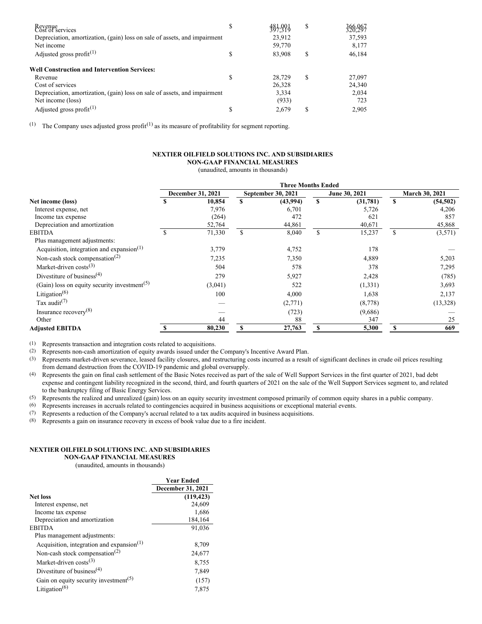| Revenue<br>Cost of services                                               | \$ | 387.991 | \$ | 326,967 |
|---------------------------------------------------------------------------|----|---------|----|---------|
| Depreciation, amortization, (gain) loss on sale of assets, and impairment |    | 23.912  |    | 37,593  |
| Net income                                                                |    | 59,770  |    | 8,177   |
| Adjusted gross profit $(1)$                                               | ъ  | 83,908  | S  | 46,184  |
| <b>Well Construction and Intervention Services:</b>                       |    |         |    |         |
| Revenue                                                                   |    | 28,729  | S  | 27,097  |
| Cost of services                                                          |    | 26.328  |    | 24.340  |
| Depreciation, amortization, (gain) loss on sale of assets, and impairment |    | 3,334   |    | 2,034   |
| Net income (loss)                                                         |    | (933)   |    | 723     |
| Adjusted gross profit $(1)$                                               |    | 2.679   | S. | 2,905   |

<sup>(1)</sup> The Company uses adjusted gross profit<sup>(1)</sup> as its measure of profitability for segment reporting.

#### **NEXTIER OILFIELD SOLUTIONS INC. AND SUBSIDIARIES NON-GAAP FINANCIAL MEASURES**

(unaudited, amounts in thousands)

|                                                          |   |                   |              | <b>Three Months Ended</b> |              |               |   |                |
|----------------------------------------------------------|---|-------------------|--------------|---------------------------|--------------|---------------|---|----------------|
|                                                          |   | December 31, 2021 |              | September 30, 2021        |              | June 30, 2021 |   | March 30, 2021 |
| Net income (loss)                                        | S | 10,854            | $\mathbf{s}$ | (43,994)                  | $\mathbf{s}$ | (31,781)      | S | (54, 502)      |
| Interest expense, net                                    |   | 7,976             |              | 6,701                     |              | 5,726         |   | 4,206          |
| Income tax expense                                       |   | (264)             |              | 472                       |              | 621           |   | 857            |
| Depreciation and amortization                            |   | 52,764            |              | 44,861                    |              | 40,671        |   | 45,868         |
| <b>EBITDA</b>                                            |   | 71,330            | S            | 8,040                     | \$           | 15,237        | S | (3,571)        |
| Plus management adjustments:                             |   |                   |              |                           |              |               |   |                |
| Acquisition, integration and expansion $(1)$             |   | 3,779             |              | 4,752                     |              | 178           |   |                |
| Non-cash stock compensation <sup>(2)</sup>               |   | 7,235             |              | 7,350                     |              | 4,889         |   | 5,203          |
| Market-driven $costs^{(3)}$                              |   | 504               |              | 578                       |              | 378           |   | 7,295          |
| Divestiture of business <sup>(4)</sup>                   |   | 279               |              | 5,927                     |              | 2,428         |   | (785)          |
| (Gain) loss on equity security investment <sup>(5)</sup> |   | (3,041)           |              | 522                       |              | (1, 331)      |   | 3,693          |
| Litigation $(6)$                                         |   | 100               |              | 4,000                     |              | 1,638         |   | 2,137          |
| Tax audit <sup>(7)</sup>                                 |   |                   |              | (2,771)                   |              | (8,778)       |   | (13,328)       |
| Insurance recovery $(8)$                                 |   |                   |              | (723)                     |              | (9,686)       |   |                |
| Other                                                    |   | 44                |              | 88                        |              | 347           |   | 25             |
| <b>Adjusted EBITDA</b>                                   |   | 80,230            |              | 27,763                    | S            | 5,300         | S | 669            |

(1) Represents transaction and integration costs related to acquisitions.

(2) Represents non-cash amortization of equity awards issued under the Company's Incentive Award Plan.

(3) Represents market-driven severance, leased facility closures, and restructuring costs incurred as a result of significant declines in crude oil prices resulting from demand destruction from the COVID-19 pandemic and global oversupply.

(4) Represents the gain on final cash settlement of the Basic Notes received as part of the sale of Well Support Services in the first quarter of 2021, bad debt expense and contingent liability recognized in the second, third, and fourth quarters of 2021 on the sale of the Well Support Services segment to, and related to the bankruptcy filing of Basic Energy Services.

(5) Represents the realized and unrealized (gain) loss on an equity security investment composed primarily of common equity shares in a public company.

(6) Represents increases in accruals related to contingencies acquired in business acquisitions or exceptional material events.

(7) Represents a reduction of the Company's accrual related to a tax audits acquired in business acquisitions.

(8) Represents a gain on insurance recovery in excess of book value due to a fire incident.

### **NEXTIER OILFIELD SOLUTIONS INC. AND SUBSIDIARIES**

**NON-GAAP FINANCIAL MEASURES**

(unaudited, amounts in thousands)

|                                                   | <b>Year Ended</b> |
|---------------------------------------------------|-------------------|
|                                                   | December 31, 2021 |
| <b>Net loss</b>                                   | (119, 423)        |
| Interest expense, net                             | 24,609            |
| Income tax expense                                | 1,686             |
| Depreciation and amortization                     | 184,164           |
| <b>EBITDA</b>                                     | 91,036            |
| Plus management adjustments:                      |                   |
| Acquisition, integration and expansion $(1)$      | 8,709             |
| Non-cash stock compensation <sup>(2)</sup>        | 24,677            |
| Market-driven costs $(3)$                         | 8,755             |
| Divestiture of business <sup>(4)</sup>            | 7,849             |
| Gain on equity security investment <sup>(5)</sup> | (157)             |
| Litigation <sup><math>(6)</math></sup>            | 7,875             |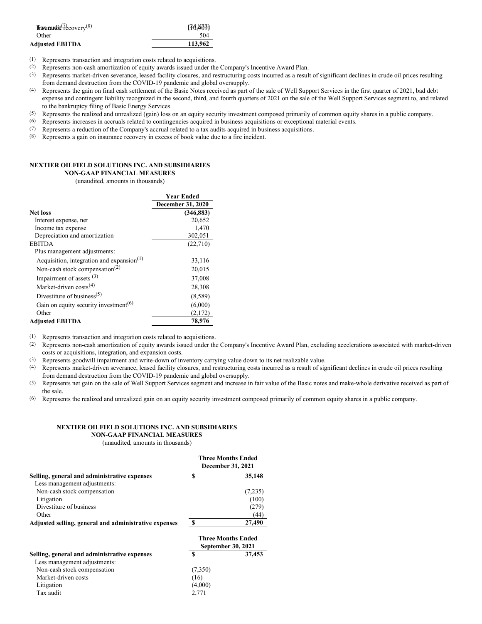| $\text{fracwidth}$     | (76, 800) |
|------------------------|-----------|
| Other                  | 504       |
| <b>Adjusted EBITDA</b> | 113,962   |

(1) Represents transaction and integration costs related to acquisitions.

(2) Represents non-cash amortization of equity awards issued under the Company's Incentive Award Plan.

- (3) Represents market-driven severance, leased facility closures, and restructuring costs incurred as a result of significant declines in crude oil prices resulting from demand destruction from the COVID-19 pandemic and global oversupply.
- (4) Represents the gain on final cash settlement of the Basic Notes received as part of the sale of Well Support Services in the first quarter of 2021, bad debt expense and contingent liability recognized in the second, third, and fourth quarters of 2021 on the sale of the Well Support Services segment to, and related to the bankruptcy filing of Basic Energy Services.
- (5) Represents the realized and unrealized (gain) loss on an equity security investment composed primarily of common equity shares in a public company.
- (6) Represents increases in accruals related to contingencies acquired in business acquisitions or exceptional material events.
- (7) Represents a reduction of the Company's accrual related to a tax audits acquired in business acquisitions.
- (8) Represents a gain on insurance recovery in excess of book value due to a fire incident.

### **NEXTIER OILFIELD SOLUTIONS INC. AND SUBSIDIARIES**

**NON-GAAP FINANCIAL MEASURES**

(unaudited, amounts in thousands)

|                                                   | <b>Year Ended</b> |
|---------------------------------------------------|-------------------|
|                                                   | December 31, 2020 |
| <b>Net loss</b>                                   | (346, 883)        |
| Interest expense, net                             | 20,652            |
| Income tax expense                                | 1,470             |
| Depreciation and amortization                     | 302,051           |
| <b>EBITDA</b>                                     | (22,710)          |
| Plus management adjustments:                      |                   |
| Acquisition, integration and expansion $(1)$      | 33,116            |
| Non-cash stock compensation <sup>(2)</sup>        | 20,015            |
| Impairment of assets $(3)$                        | 37,008            |
| Market-driven costs <sup>(4)</sup>                | 28,308            |
| Divestiture of business <sup>(5)</sup>            | (8,589)           |
| Gain on equity security investment <sup>(6)</sup> | (6,000)           |
| Other                                             | (2,172)           |
| <b>Adjusted EBITDA</b>                            | 78,976            |

(1) Represents transaction and integration costs related to acquisitions.

- (2) Represents non-cash amortization of equity awards issued under the Company's Incentive Award Plan, excluding accelerations associated with market-driven costs or acquisitions, integration, and expansion costs.
- (3) Represents goodwill impairment and write-down of inventory carrying value down to its net realizable value.
- (4) Represents market-driven severance, leased facility closures, and restructuring costs incurred as a result of significant declines in crude oil prices resulting from demand destruction from the COVID-19 pandemic and global oversupply.
- (5) Represents net gain on the sale of Well Support Services segment and increase in fair value of the Basic notes and make-whole derivative received as part of the sale.
- (6) Represents the realized and unrealized gain on an equity security investment composed primarily of common equity shares in a public company.

#### **NEXTIER OILFIELD SOLUTIONS INC. AND SUBSIDIARIES NON-GAAP FINANCIAL MEASURES**

(unaudited, amounts in thousands)

|                                                       | Three Months Ended<br><b>December 31, 2021</b> |         |  |
|-------------------------------------------------------|------------------------------------------------|---------|--|
| Selling, general and administrative expenses          | S                                              | 35,148  |  |
| Less management adjustments:                          |                                                |         |  |
| Non-cash stock compensation                           |                                                | (7,235) |  |
| Litigation                                            |                                                | (100)   |  |
| Divestiture of business                               |                                                | (279)   |  |
| Other                                                 |                                                | (44)    |  |
| Adjusted selling, general and administrative expenses | S                                              | 27,490  |  |
|                                                       | <b>Three Months Ended</b>                      |         |  |

|                                              |         | <b>September 30, 2021</b> |
|----------------------------------------------|---------|---------------------------|
| Selling, general and administrative expenses | S       | 37,453                    |
| Less management adjustments:                 |         |                           |
| Non-cash stock compensation                  | (7,350) |                           |
| Market-driven costs                          | (16)    |                           |
| Litigation                                   | (4,000) |                           |
| Tax audit                                    | 2.771   |                           |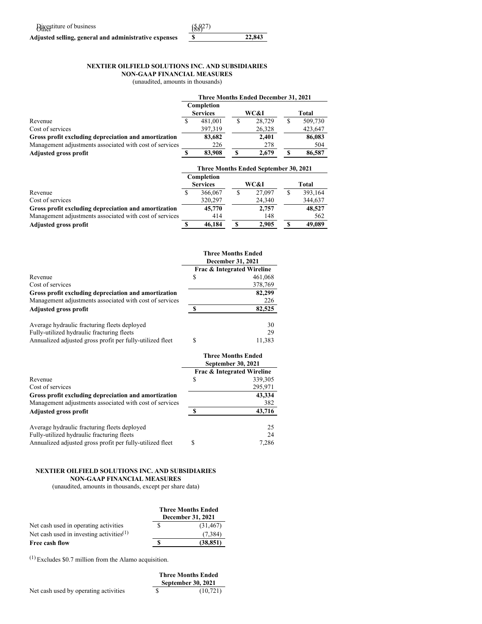| Bivestiture of business                               | $({\frac{58}{27}})$ |        |
|-------------------------------------------------------|---------------------|--------|
| Adjusted selling, general and administrative expenses |                     | 22,843 |

# **NEXTIER OILFIELD SOLUTIONS INC. AND SUBSIDIARIES**

**NON-GAAP FINANCIAL MEASURES**

(unaudited, amounts in thousands)

|                                                         |                 |   | Three Months Ended December 31, 2021         |   |         |
|---------------------------------------------------------|-----------------|---|----------------------------------------------|---|---------|
|                                                         | Completion      |   |                                              |   |         |
|                                                         | <b>Services</b> |   | WC&I                                         |   | Total   |
| Revenue                                                 | 481.001         | S | 28,729                                       | S | 509.730 |
| Cost of services                                        | 397,319         |   | 26,328                                       |   | 423,647 |
| Gross profit excluding depreciation and amortization    | 83,682          |   | 2.401                                        |   | 86,083  |
| Management adjustments associated with cost of services | 226             |   | 278                                          |   | 504     |
| <b>Adjusted gross profit</b>                            | 83,908          |   | 2.679                                        | S | 86,587  |
|                                                         |                 |   |                                              |   |         |
|                                                         |                 |   | <b>Three Months Ended September 30, 2021</b> |   |         |

|                                                         | Completion      |        |         |
|---------------------------------------------------------|-----------------|--------|---------|
|                                                         | <b>Services</b> | WC&I   | Total   |
| Revenue                                                 | 366,067         | 27,097 | 393,164 |
| Cost of services                                        | 320,297         | 24,340 | 344,637 |
| Gross profit excluding depreciation and amortization    | 45,770          | 2,757  | 48,527  |
| Management adjustments associated with cost of services | 414             | 148    | 562     |
| <b>Adjusted gross profit</b>                            | 46,184          | 2.905  | 49,089  |

|                                                           | <b>Three Months Ended</b><br><b>December 31, 2021</b> |                            |  |  |
|-----------------------------------------------------------|-------------------------------------------------------|----------------------------|--|--|
|                                                           |                                                       | Frac & Integrated Wireline |  |  |
| Revenue                                                   | S                                                     | 461,068                    |  |  |
| Cost of services                                          |                                                       | 378,769                    |  |  |
| Gross profit excluding depreciation and amortization      |                                                       | 82,299                     |  |  |
| Management adjustments associated with cost of services   |                                                       | 226                        |  |  |
| <b>Adjusted gross profit</b>                              | ¢                                                     | 82,525                     |  |  |
| Average hydraulic fracturing fleets deployed              |                                                       | 30                         |  |  |
| Fully-utilized hydraulic fracturing fleets                |                                                       | 29                         |  |  |
| Annualized adjusted gross profit per fully-utilized fleet | S                                                     | 11.383                     |  |  |

|                                                           | <b>Three Months Ended</b><br>September 30, 2021 |                            |  |  |
|-----------------------------------------------------------|-------------------------------------------------|----------------------------|--|--|
|                                                           |                                                 | Frac & Integrated Wireline |  |  |
| Revenue                                                   | S                                               | 339,305                    |  |  |
| Cost of services                                          |                                                 | 295,971                    |  |  |
| Gross profit excluding depreciation and amortization      |                                                 | 43,334                     |  |  |
| Management adjustments associated with cost of services   |                                                 | 382                        |  |  |
| <b>Adjusted gross profit</b>                              |                                                 | 43,716                     |  |  |
| Average hydraulic fracturing fleets deployed              |                                                 | 25                         |  |  |
| Fully-utilized hydraulic fracturing fleets                |                                                 | 24                         |  |  |
| Annualized adjusted gross profit per fully-utilized fleet | S                                               | 7,286                      |  |  |

### **NEXTIER OILFIELD SOLUTIONS INC. AND SUBSIDIARIES NON-GAAP FINANCIAL MEASURES**

(unaudited, amounts in thousands, except per share data)

|                                                      | <b>Three Months Ended</b> |                   |  |
|------------------------------------------------------|---------------------------|-------------------|--|
|                                                      |                           | December 31, 2021 |  |
| Net cash used in operating activities                |                           | (31, 467)         |  |
| Net cash used in investing activities <sup>(1)</sup> |                           | (7.384)           |  |
| Free cash flow                                       |                           | (38, 851)         |  |

(1) Excludes \$0.7 million from the Alamo acquisition.

|                                       | <b>Three Months Ended</b><br><b>September 30, 2021</b> |
|---------------------------------------|--------------------------------------------------------|
| Net cash used by operating activities | (10, 721)                                              |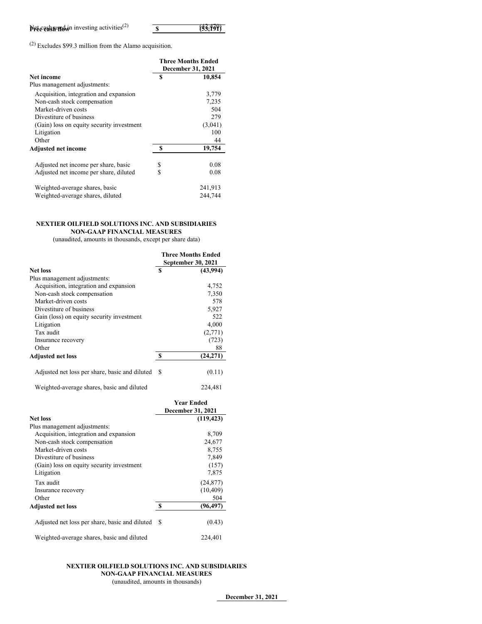| <b>Net cash within investing activities</b> $(2)$ | (33,199) |
|---------------------------------------------------|----------|

(2) Excludes \$99.3 million from the Alamo acquisition.

|                                           |                   | Three Months Ended |  |  |
|-------------------------------------------|-------------------|--------------------|--|--|
|                                           | December 31, 2021 |                    |  |  |
| Net income                                | S                 | 10,854             |  |  |
| Plus management adjustments:              |                   |                    |  |  |
| Acquisition, integration and expansion    |                   | 3,779              |  |  |
| Non-cash stock compensation               |                   | 7,235              |  |  |
| Market-driven costs                       |                   | 504                |  |  |
| Divestiture of business                   |                   | 279                |  |  |
| (Gain) loss on equity security investment |                   | (3,041)            |  |  |
| Litigation                                |                   | 100                |  |  |
| Other                                     |                   | 44                 |  |  |
| <b>Adjusted net income</b>                | S                 | 19,754             |  |  |
| Adjusted net income per share, basic      | \$                | 0.08               |  |  |
| Adjusted net income per share, diluted    | S                 | 0.08               |  |  |
| Weighted-average shares, basic            |                   | 241,913            |  |  |
| Weighted-average shares, diluted          |                   | 244,744            |  |  |

### **NEXTIER OILFIELD SOLUTIONS INC. AND SUBSIDIARIES NON-GAAP FINANCIAL MEASURES**

(unaudited, amounts in thousands, except per share data)

|                                                |   | <b>Three Months Ended</b> |
|------------------------------------------------|---|---------------------------|
|                                                |   | September 30, 2021        |
| Net loss                                       | S | (43,994)                  |
| Plus management adjustments:                   |   |                           |
| Acquisition, integration and expansion         |   | 4,752                     |
| Non-cash stock compensation                    |   | 7,350                     |
| Market-driven costs                            |   | 578                       |
| Divestiture of business                        |   | 5,927                     |
| Gain (loss) on equity security investment      |   | 522                       |
| Litigation                                     |   | 4,000                     |
| Tax audit                                      |   | (2,771)                   |
| Insurance recovery                             |   | (723)                     |
| Other                                          |   | 88                        |
| <b>Adjusted net loss</b>                       | S | (24,271)                  |
| Adjusted net loss per share, basic and diluted | S | (0.11)                    |
| Weighted-average shares, basic and diluted     |   | 224,481                   |

|                                                |     | <b>Year Ended</b><br><b>December 31, 2021</b> |
|------------------------------------------------|-----|-----------------------------------------------|
| <b>Net loss</b>                                |     | (119, 423)                                    |
| Plus management adjustments:                   |     |                                               |
| Acquisition, integration and expansion         |     | 8,709                                         |
| Non-cash stock compensation                    |     | 24,677                                        |
| Market-driven costs                            |     | 8,755                                         |
| Divestiture of business                        |     | 7,849                                         |
| (Gain) loss on equity security investment      |     | (157)                                         |
| Litigation                                     |     | 7,875                                         |
| Tax audit                                      |     | (24, 877)                                     |
| Insurance recovery                             |     | (10, 409)                                     |
| Other                                          |     | 504                                           |
| <b>Adjusted net loss</b>                       | S   | (96, 497)                                     |
| Adjusted net loss per share, basic and diluted | \$. | (0.43)                                        |
| Weighted-average shares, basic and diluted     |     | 224,401                                       |

### **NEXTIER OILFIELD SOLUTIONS INC. AND SUBSIDIARIES NON-GAAP FINANCIAL MEASURES** (unaudited, amounts in thousands)

**December 31, 2021**